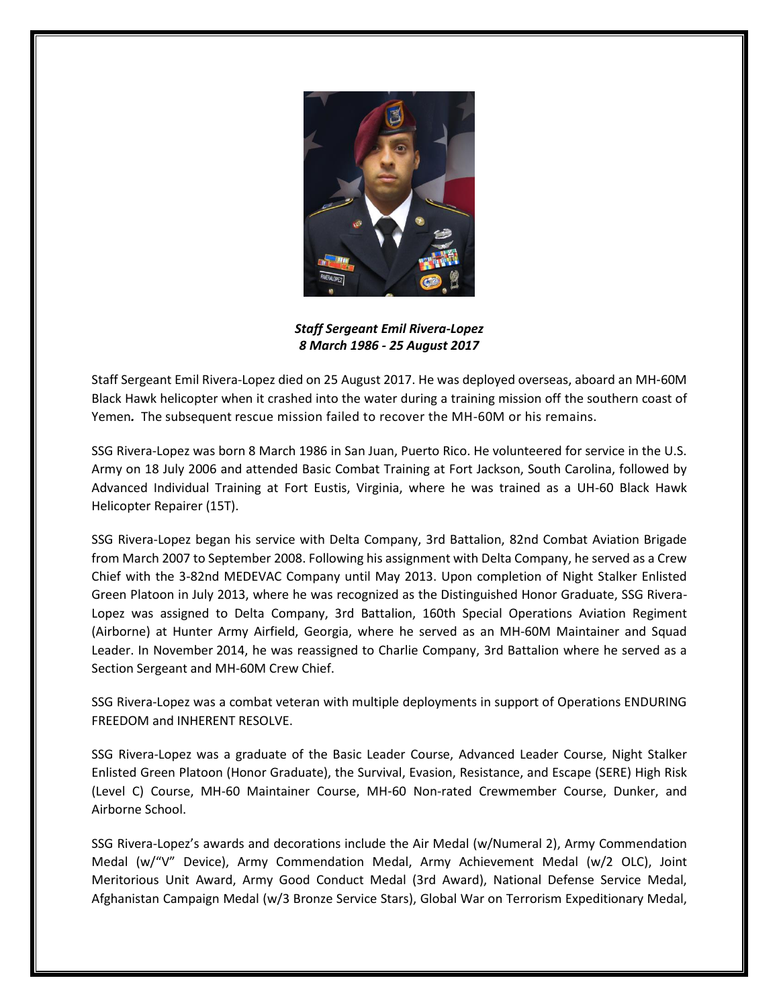

*Staff Sergeant Emil Rivera-Lopez 8 March 1986 - 25 August 2017*

Staff Sergeant Emil Rivera-Lopez died on 25 August 2017. He was deployed overseas, aboard an MH‑60M Black Hawk helicopter when it crashed into the water during a training mission off the southern coast of Yemen*.* The subsequent rescue mission failed to recover the MH-60M or his remains.

SSG Rivera-Lopez was born 8 March 1986 in San Juan, Puerto Rico. He volunteered for service in the U.S. Army on 18 July 2006 and attended Basic Combat Training at Fort Jackson, South Carolina, followed by Advanced Individual Training at Fort Eustis, Virginia, where he was trained as a UH-60 Black Hawk Helicopter Repairer (15T).

SSG Rivera-Lopez began his service with Delta Company, 3rd Battalion, 82nd Combat Aviation Brigade from March 2007 to September 2008. Following his assignment with Delta Company, he served as a Crew Chief with the 3-82nd MEDEVAC Company until May 2013. Upon completion of Night Stalker Enlisted Green Platoon in July 2013, where he was recognized as the Distinguished Honor Graduate, SSG Rivera-Lopez was assigned to Delta Company, 3rd Battalion, 160th Special Operations Aviation Regiment (Airborne) at Hunter Army Airfield, Georgia, where he served as an MH-60M Maintainer and Squad Leader. In November 2014, he was reassigned to Charlie Company, 3rd Battalion where he served as a Section Sergeant and MH-60M Crew Chief.

SSG Rivera-Lopez was a combat veteran with multiple deployments in support of Operations ENDURING FREEDOM and INHERENT RESOLVE.

SSG Rivera-Lopez was a graduate of the Basic Leader Course, Advanced Leader Course, Night Stalker Enlisted Green Platoon (Honor Graduate), the Survival, Evasion, Resistance, and Escape (SERE) High Risk (Level C) Course, MH-60 Maintainer Course, MH‑60 Non-rated Crewmember Course, Dunker, and Airborne School.

SSG Rivera-Lopez's awards and decorations include the Air Medal (w/Numeral 2), Army Commendation Medal (w/"V" Device), Army Commendation Medal, Army Achievement Medal (w/2 OLC), Joint Meritorious Unit Award, Army Good Conduct Medal (3rd Award), National Defense Service Medal, Afghanistan Campaign Medal (w/3 Bronze Service Stars), Global War on Terrorism Expeditionary Medal,